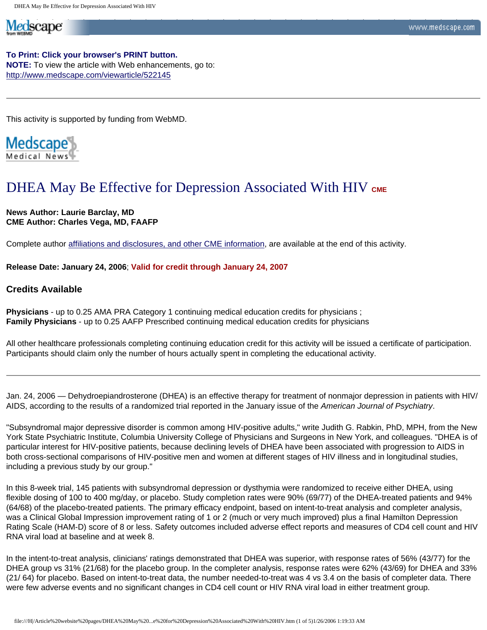**To Print: Click your browser's PRINT button. NOTE:** To view the article with Web enhancements, go to: <http://www.medscape.com/viewarticle/522145>

This activity is supported by funding from WebMD.

Medscape

Medscape

# DHEA May Be Effective for Depression Associated With HIV CME

**News Author: Laurie Barclay, MD CME Author: Charles Vega, MD, FAAFP**

Complete author [affiliations and disclosures, and other CME information,](http://www.medscape.com/viewarticle/522145_print#authors) are available at the end of this activity.

**Release Date: January 24, 2006**; **Valid for credit through January 24, 2007** 

# **Credits Available**

**Physicians** - up to 0.25 AMA PRA Category 1 continuing medical education credits for physicians ; **Family Physicians** - up to 0.25 AAFP Prescribed continuing medical education credits for physicians

All other healthcare professionals completing continuing education credit for this activity will be issued a certificate of participation. Participants should claim only the number of hours actually spent in completing the educational activity.

Jan. 24, 2006 — Dehydroepiandrosterone (DHEA) is an effective therapy for treatment of nonmajor depression in patients with HIV/ AIDS, according to the results of a randomized trial reported in the January issue of the *American Journal of Psychiatry*.

"Subsyndromal major depressive disorder is common among HIV-positive adults," write Judith G. Rabkin, PhD, MPH, from the New York State Psychiatric Institute, Columbia University College of Physicians and Surgeons in New York, and colleagues. "DHEA is of particular interest for HIV-positive patients, because declining levels of DHEA have been associated with progression to AIDS in both cross-sectional comparisons of HIV-positive men and women at different stages of HIV illness and in longitudinal studies, including a previous study by our group."

In this 8-week trial, 145 patients with subsyndromal depression or dysthymia were randomized to receive either DHEA, using flexible dosing of 100 to 400 mg/day, or placebo. Study completion rates were 90% (69/77) of the DHEA-treated patients and 94% (64/68) of the placebo-treated patients. The primary efficacy endpoint, based on intent-to-treat analysis and completer analysis, was a Clinical Global Impression improvement rating of 1 or 2 (much or very much improved) plus a final Hamilton Depression Rating Scale (HAM-D) score of 8 or less. Safety outcomes included adverse effect reports and measures of CD4 cell count and HIV RNA viral load at baseline and at week 8.

In the intent-to-treat analysis, clinicians' ratings demonstrated that DHEA was superior, with response rates of 56% (43/77) for the DHEA group vs 31% (21/68) for the placebo group. In the completer analysis, response rates were 62% (43/69) for DHEA and 33% (21/ 64) for placebo. Based on intent-to-treat data, the number needed-to-treat was 4 vs 3.4 on the basis of completer data. There were few adverse events and no significant changes in CD4 cell count or HIV RNA viral load in either treatment group.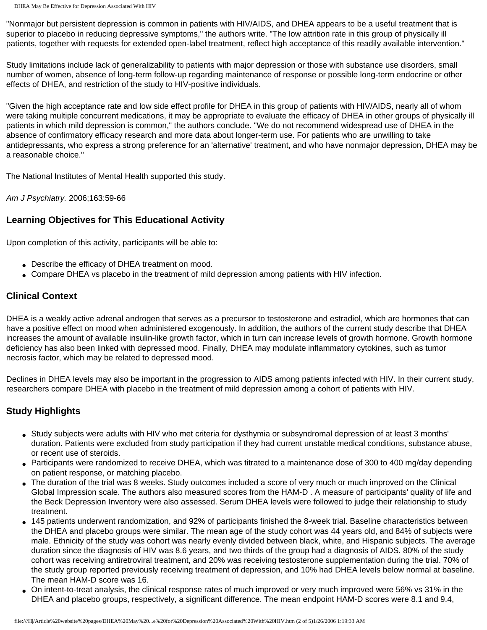DHEA May Be Effective for Depression Associated With HIV

"Nonmajor but persistent depression is common in patients with HIV/AIDS, and DHEA appears to be a useful treatment that is superior to placebo in reducing depressive symptoms," the authors write. "The low attrition rate in this group of physically ill patients, together with requests for extended open-label treatment, reflect high acceptance of this readily available intervention."

Study limitations include lack of generalizability to patients with major depression or those with substance use disorders, small number of women, absence of long-term follow-up regarding maintenance of response or possible long-term endocrine or other effects of DHEA, and restriction of the study to HIV-positive individuals.

"Given the high acceptance rate and low side effect profile for DHEA in this group of patients with HIV/AIDS, nearly all of whom were taking multiple concurrent medications, it may be appropriate to evaluate the efficacy of DHEA in other groups of physically ill patients in which mild depression is common," the authors conclude. "We do not recommend widespread use of DHEA in the absence of confirmatory efficacy research and more data about longer-term use. For patients who are unwilling to take antidepressants, who express a strong preference for an 'alternative' treatment, and who have nonmajor depression, DHEA may be a reasonable choice."

The National Institutes of Mental Health supported this study.

*Am J Psychiatry.* 2006;163:59-66

# **Learning Objectives for This Educational Activity**

Upon completion of this activity, participants will be able to:

- Describe the efficacy of DHEA treatment on mood.
- Compare DHEA vs placebo in the treatment of mild depression among patients with HIV infection.

# **Clinical Context**

DHEA is a weakly active adrenal androgen that serves as a precursor to testosterone and estradiol, which are hormones that can have a positive effect on mood when administered exogenously. In addition, the authors of the current study describe that DHEA increases the amount of available insulin-like growth factor, which in turn can increase levels of growth hormone. Growth hormone deficiency has also been linked with depressed mood. Finally, DHEA may modulate inflammatory cytokines, such as tumor necrosis factor, which may be related to depressed mood.

Declines in DHEA levels may also be important in the progression to AIDS among patients infected with HIV. In their current study, researchers compare DHEA with placebo in the treatment of mild depression among a cohort of patients with HIV.

# **Study Highlights**

- Study subjects were adults with HIV who met criteria for dysthymia or subsyndromal depression of at least 3 months' duration. Patients were excluded from study participation if they had current unstable medical conditions, substance abuse, or recent use of steroids.
- Participants were randomized to receive DHEA, which was titrated to a maintenance dose of 300 to 400 mg/day depending on patient response, or matching placebo.
- The duration of the trial was 8 weeks. Study outcomes included a score of very much or much improved on the Clinical Global Impression scale. The authors also measured scores from the HAM-D . A measure of participants' quality of life and the Beck Depression Inventory were also assessed. Serum DHEA levels were followed to judge their relationship to study treatment.
- 145 patients underwent randomization, and 92% of participants finished the 8-week trial. Baseline characteristics between the DHEA and placebo groups were similar. The mean age of the study cohort was 44 years old, and 84% of subjects were male. Ethnicity of the study was cohort was nearly evenly divided between black, white, and Hispanic subjects. The average duration since the diagnosis of HIV was 8.6 years, and two thirds of the group had a diagnosis of AIDS. 80% of the study cohort was receiving antiretroviral treatment, and 20% was receiving testosterone supplementation during the trial. 70% of the study group reported previously receiving treatment of depression, and 10% had DHEA levels below normal at baseline. The mean HAM-D score was 16.
- On intent-to-treat analysis, the clinical response rates of much improved or very much improved were 56% vs 31% in the DHEA and placebo groups, respectively, a significant difference. The mean endpoint HAM-D scores were 8.1 and 9.4,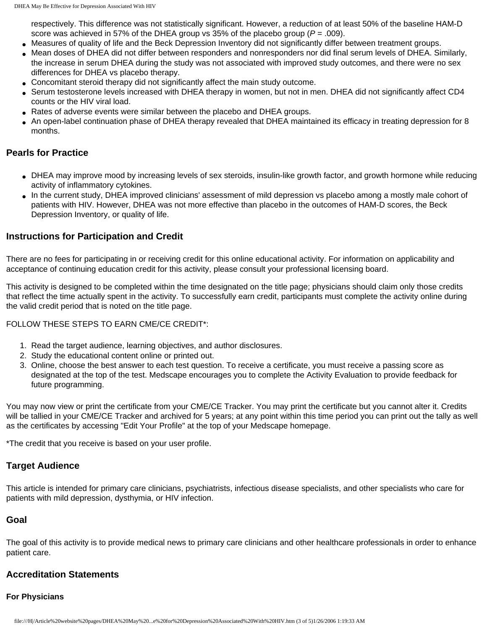respectively. This difference was not statistically significant. However, a reduction of at least 50% of the baseline HAM-D score was achieved in 57% of the DHEA group vs 35% of the placebo group (*P* = .009).

- Measures of quality of life and the Beck Depression Inventory did not significantly differ between treatment groups.
- Mean doses of DHEA did not differ between responders and nonresponders nor did final serum levels of DHEA. Similarly, the increase in serum DHEA during the study was not associated with improved study outcomes, and there were no sex differences for DHEA vs placebo therapy.
- Concomitant steroid therapy did not significantly affect the main study outcome.
- Serum testosterone levels increased with DHEA therapy in women, but not in men. DHEA did not significantly affect CD4 counts or the HIV viral load.
- Rates of adverse events were similar between the placebo and DHEA groups.
- An open-label continuation phase of DHEA therapy revealed that DHEA maintained its efficacy in treating depression for 8 months.

# **Pearls for Practice**

- DHEA may improve mood by increasing levels of sex steroids, insulin-like growth factor, and growth hormone while reducing activity of inflammatory cytokines.
- In the current study, DHEA improved clinicians' assessment of mild depression vs placebo among a mostly male cohort of patients with HIV. However, DHEA was not more effective than placebo in the outcomes of HAM-D scores, the Beck Depression Inventory, or quality of life.

# **Instructions for Participation and Credit**

There are no fees for participating in or receiving credit for this online educational activity. For information on applicability and acceptance of continuing education credit for this activity, please consult your professional licensing board.

This activity is designed to be completed within the time designated on the title page; physicians should claim only those credits that reflect the time actually spent in the activity. To successfully earn credit, participants must complete the activity online during the valid credit period that is noted on the title page.

## FOLLOW THESE STEPS TO EARN CME/CE CREDIT\*:

- 1. Read the target audience, learning objectives, and author disclosures.
- 2. Study the educational content online or printed out.
- 3. Online, choose the best answer to each test question. To receive a certificate, you must receive a passing score as designated at the top of the test. Medscape encourages you to complete the Activity Evaluation to provide feedback for future programming.

You may now view or print the certificate from your CME/CE Tracker. You may print the certificate but you cannot alter it. Credits will be tallied in your CME/CE Tracker and archived for 5 years; at any point within this time period you can print out the tally as well as the certificates by accessing "Edit Your Profile" at the top of your Medscape homepage.

\*The credit that you receive is based on your user profile.

# **Target Audience**

This article is intended for primary care clinicians, psychiatrists, infectious disease specialists, and other specialists who care for patients with mild depression, dysthymia, or HIV infection.

## **Goal**

The goal of this activity is to provide medical news to primary care clinicians and other healthcare professionals in order to enhance patient care.

## **Accreditation Statements**

## **For Physicians**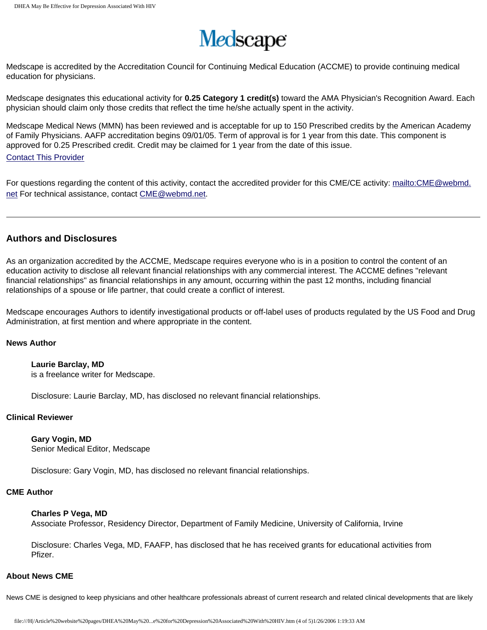

Medscape is accredited by the Accreditation Council for Continuing Medical Education (ACCME) to provide continuing medical education for physicians.

Medscape designates this educational activity for **0.25 Category 1 credit(s)** toward the AMA Physician's Recognition Award. Each physician should claim only those credits that reflect the time he/she actually spent in the activity.

Medscape Medical News (MMN) has been reviewed and is acceptable for up to 150 Prescribed credits by the American Academy of Family Physicians. AAFP accreditation begins 09/01/05. Term of approval is for 1 year from this date. This component is approved for 0.25 Prescribed credit. Credit may be claimed for 1 year from the date of this issue.

#### [Contact This Provider](mailto:tmarkum@aafp.org)

For questions regarding the content of this activity, contact the accredited provider for this CME/CE activity: [mailto:CME@webmd.](mailto:CME@webmd.net) [net](mailto:CME@webmd.net) For technical assistance, contact [CME@webmd.net.](mailto:CME@webmd.net)

## **Authors and Disclosures**

As an organization accredited by the ACCME, Medscape requires everyone who is in a position to control the content of an education activity to disclose all relevant financial relationships with any commercial interest. The ACCME defines "relevant financial relationships" as financial relationships in any amount, occurring within the past 12 months, including financial relationships of a spouse or life partner, that could create a conflict of interest.

Medscape encourages Authors to identify investigational products or off-label uses of products regulated by the US Food and Drug Administration, at first mention and where appropriate in the content.

#### **News Author**

# **Laurie Barclay, MD**

is a freelance writer for Medscape.

Disclosure: Laurie Barclay, MD, has disclosed no relevant financial relationships.

#### **Clinical Reviewer**

**Gary Vogin, MD** Senior Medical Editor, Medscape

Disclosure: Gary Vogin, MD, has disclosed no relevant financial relationships.

## **CME Author**

#### **Charles P Vega, MD**

Associate Professor, Residency Director, Department of Family Medicine, University of California, Irvine

Disclosure: Charles Vega, MD, FAAFP, has disclosed that he has received grants for educational activities from Pfizer.

#### **About News CME**

News CME is designed to keep physicians and other healthcare professionals abreast of current research and related clinical developments that are likely